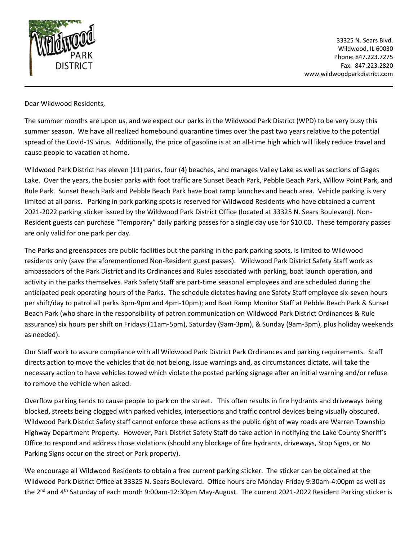

33325 N. Sears Blvd. Wildwood, IL 60030 Phone: 847.223.7275 Fax: 847.223.2820 www.wildwoodparkdistrict.com

Dear Wildwood Residents,

The summer months are upon us, and we expect our parks in the Wildwood Park District (WPD) to be very busy this summer season. We have all realized homebound quarantine times over the past two years relative to the potential spread of the Covid-19 virus. Additionally, the price of gasoline is at an all-time high which will likely reduce travel and cause people to vacation at home.

Wildwood Park District has eleven (11) parks, four (4) beaches, and manages Valley Lake as well as sections of Gages Lake. Over the years, the busier parks with foot traffic are Sunset Beach Park, Pebble Beach Park, Willow Point Park, and Rule Park. Sunset Beach Park and Pebble Beach Park have boat ramp launches and beach area. Vehicle parking is very limited at all parks. Parking in park parking spots is reserved for Wildwood Residents who have obtained a current 2021-2022 parking sticker issued by the Wildwood Park District Office (located at 33325 N. Sears Boulevard). Non-Resident guests can purchase "Temporary" daily parking passes for a single day use for \$10.00. These temporary passes are only valid for one park per day.

The Parks and greenspaces are public facilities but the parking in the park parking spots, is limited to Wildwood residents only (save the aforementioned Non-Resident guest passes). Wildwood Park District Safety Staff work as ambassadors of the Park District and its Ordinances and Rules associated with parking, boat launch operation, and activity in the parks themselves. Park Safety Staff are part-time seasonal employees and are scheduled during the anticipated peak operating hours of the Parks. The schedule dictates having one Safety Staff employee six-seven hours per shift/day to patrol all parks 3pm-9pm and 4pm-10pm); and Boat Ramp Monitor Staff at Pebble Beach Park & Sunset Beach Park (who share in the responsibility of patron communication on Wildwood Park District Ordinances & Rule assurance) six hours per shift on Fridays (11am-5pm), Saturday (9am-3pm), & Sunday (9am-3pm), plus holiday weekends as needed).

Our Staff work to assure compliance with all Wildwood Park District Park Ordinances and parking requirements. Staff directs action to move the vehicles that do not belong, issue warnings and, as circumstances dictate, will take the necessary action to have vehicles towed which violate the posted parking signage after an initial warning and/or refuse to remove the vehicle when asked.

Overflow parking tends to cause people to park on the street. This often results in fire hydrants and driveways being blocked, streets being clogged with parked vehicles, intersections and traffic control devices being visually obscured. Wildwood Park District Safety staff cannot enforce these actions as the public right of way roads are Warren Township Highway Department Property. However, Park District Safety Staff do take action in notifying the Lake County Sheriff's Office to respond and address those violations (should any blockage of fire hydrants, driveways, Stop Signs, or No Parking Signs occur on the street or Park property).

We encourage all Wildwood Residents to obtain a free current parking sticker. The sticker can be obtained at the Wildwood Park District Office at 33325 N. Sears Boulevard. Office hours are Monday-Friday 9:30am-4:00pm as well as the 2<sup>nd</sup> and 4<sup>th</sup> Saturday of each month 9:00am-12:30pm May-August. The current 2021-2022 Resident Parking sticker is